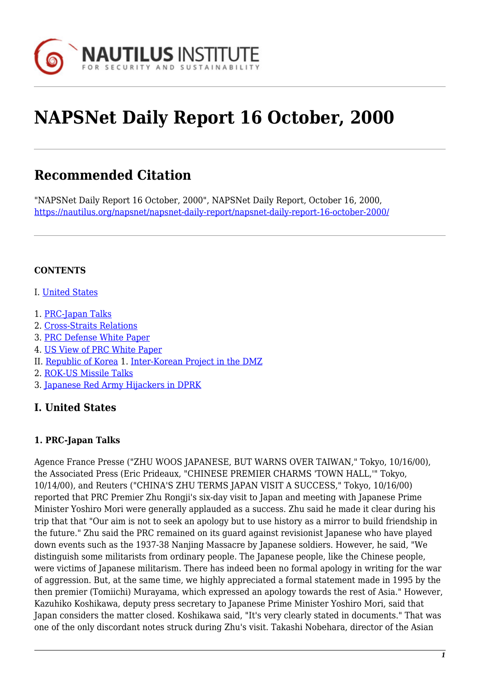

# **NAPSNet Daily Report 16 October, 2000**

## **Recommended Citation**

"NAPSNet Daily Report 16 October, 2000", NAPSNet Daily Report, October 16, 2000, <https://nautilus.org/napsnet/napsnet-daily-report/napsnet-daily-report-16-october-2000/>

#### **CONTENTS**

- I. [United States](#page-0-0)
- 1. [PRC-Japan Talks](#page-0-1)
- 2. [Cross-Straits Relations](#page-1-0)
- 3. [PRC Defense White Paper](#page-1-1)
- 4. [US View of PRC White Paper](#page-2-0)
- II. [Republic of Korea](#page-2-1) 1. [Inter-Korean Project in the DMZ](#page-2-2)
- 2. [ROK-US Missile Talks](#page-2-3)
- 3. [Japanese Red Army Hijackers in DPRK](#page-3-0)

#### <span id="page-0-0"></span>**I. United States**

#### <span id="page-0-1"></span>**1. PRC-Japan Talks**

Agence France Presse ("ZHU WOOS JAPANESE, BUT WARNS OVER TAIWAN," Tokyo, 10/16/00), the Associated Press (Eric Prideaux, "CHINESE PREMIER CHARMS 'TOWN HALL,'" Tokyo, 10/14/00), and Reuters ("CHINA'S ZHU TERMS JAPAN VISIT A SUCCESS," Tokyo, 10/16/00) reported that PRC Premier Zhu Rongji's six-day visit to Japan and meeting with Japanese Prime Minister Yoshiro Mori were generally applauded as a success. Zhu said he made it clear during his trip that that "Our aim is not to seek an apology but to use history as a mirror to build friendship in the future." Zhu said the PRC remained on its guard against revisionist Japanese who have played down events such as the 1937-38 Nanjing Massacre by Japanese soldiers. However, he said, "We distinguish some militarists from ordinary people. The Japanese people, like the Chinese people, were victims of Japanese militarism. There has indeed been no formal apology in writing for the war of aggression. But, at the same time, we highly appreciated a formal statement made in 1995 by the then premier (Tomiichi) Murayama, which expressed an apology towards the rest of Asia." However, Kazuhiko Koshikawa, deputy press secretary to Japanese Prime Minister Yoshiro Mori, said that Japan considers the matter closed. Koshikawa said, "It's very clearly stated in documents." That was one of the only discordant notes struck during Zhu's visit. Takashi Nobehara, director of the Asian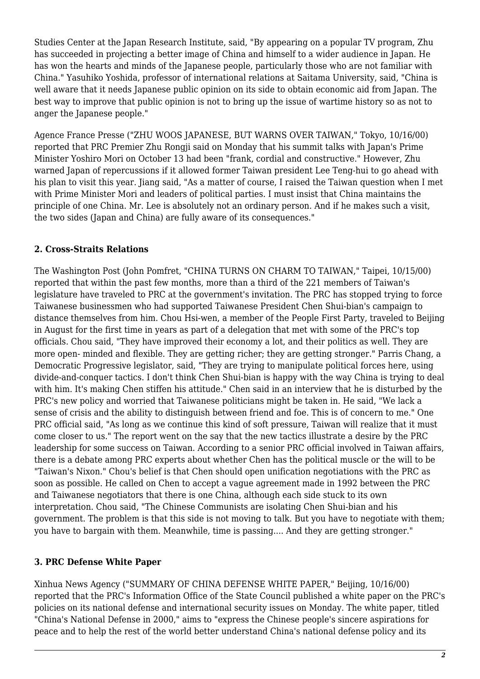Studies Center at the Japan Research Institute, said, "By appearing on a popular TV program, Zhu has succeeded in projecting a better image of China and himself to a wider audience in Japan. He has won the hearts and minds of the Japanese people, particularly those who are not familiar with China." Yasuhiko Yoshida, professor of international relations at Saitama University, said, "China is well aware that it needs Japanese public opinion on its side to obtain economic aid from Japan. The best way to improve that public opinion is not to bring up the issue of wartime history so as not to anger the Japanese people."

Agence France Presse ("ZHU WOOS JAPANESE, BUT WARNS OVER TAIWAN," Tokyo, 10/16/00) reported that PRC Premier Zhu Rongii said on Monday that his summit talks with Japan's Prime Minister Yoshiro Mori on October 13 had been "frank, cordial and constructive." However, Zhu warned Japan of repercussions if it allowed former Taiwan president Lee Teng-hui to go ahead with his plan to visit this year. Jiang said, "As a matter of course, I raised the Taiwan question when I met with Prime Minister Mori and leaders of political parties. I must insist that China maintains the principle of one China. Mr. Lee is absolutely not an ordinary person. And if he makes such a visit, the two sides (Japan and China) are fully aware of its consequences."

#### <span id="page-1-0"></span>**2. Cross-Straits Relations**

The Washington Post (John Pomfret, "CHINA TURNS ON CHARM TO TAIWAN," Taipei, 10/15/00) reported that within the past few months, more than a third of the 221 members of Taiwan's legislature have traveled to PRC at the government's invitation. The PRC has stopped trying to force Taiwanese businessmen who had supported Taiwanese President Chen Shui-bian's campaign to distance themselves from him. Chou Hsi-wen, a member of the People First Party, traveled to Beijing in August for the first time in years as part of a delegation that met with some of the PRC's top officials. Chou said, "They have improved their economy a lot, and their politics as well. They are more open- minded and flexible. They are getting richer; they are getting stronger." Parris Chang, a Democratic Progressive legislator, said, "They are trying to manipulate political forces here, using divide-and-conquer tactics. I don't think Chen Shui-bian is happy with the way China is trying to deal with him. It's making Chen stiffen his attitude." Chen said in an interview that he is disturbed by the PRC's new policy and worried that Taiwanese politicians might be taken in. He said, "We lack a sense of crisis and the ability to distinguish between friend and foe. This is of concern to me." One PRC official said, "As long as we continue this kind of soft pressure, Taiwan will realize that it must come closer to us." The report went on the say that the new tactics illustrate a desire by the PRC leadership for some success on Taiwan. According to a senior PRC official involved in Taiwan affairs, there is a debate among PRC experts about whether Chen has the political muscle or the will to be "Taiwan's Nixon." Chou's belief is that Chen should open unification negotiations with the PRC as soon as possible. He called on Chen to accept a vague agreement made in 1992 between the PRC and Taiwanese negotiators that there is one China, although each side stuck to its own interpretation. Chou said, "The Chinese Communists are isolating Chen Shui-bian and his government. The problem is that this side is not moving to talk. But you have to negotiate with them; you have to bargain with them. Meanwhile, time is passing.... And they are getting stronger."

#### <span id="page-1-1"></span>**3. PRC Defense White Paper**

Xinhua News Agency ("SUMMARY OF CHINA DEFENSE WHITE PAPER," Beijing, 10/16/00) reported that the PRC's Information Office of the State Council published a white paper on the PRC's policies on its national defense and international security issues on Monday. The white paper, titled "China's National Defense in 2000," aims to "express the Chinese people's sincere aspirations for peace and to help the rest of the world better understand China's national defense policy and its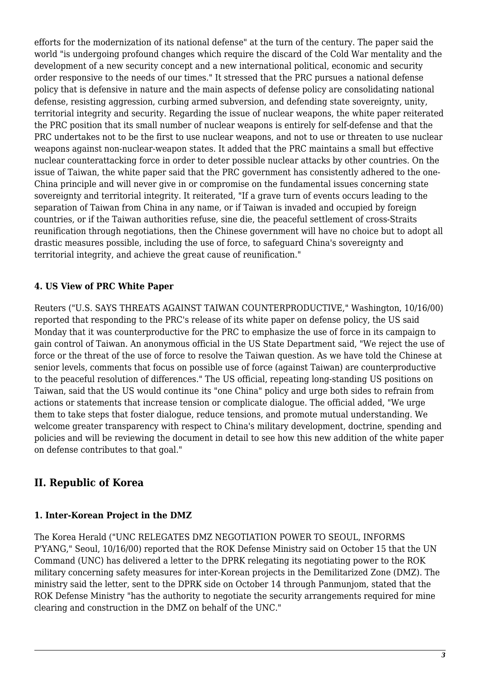efforts for the modernization of its national defense" at the turn of the century. The paper said the world "is undergoing profound changes which require the discard of the Cold War mentality and the development of a new security concept and a new international political, economic and security order responsive to the needs of our times." It stressed that the PRC pursues a national defense policy that is defensive in nature and the main aspects of defense policy are consolidating national defense, resisting aggression, curbing armed subversion, and defending state sovereignty, unity, territorial integrity and security. Regarding the issue of nuclear weapons, the white paper reiterated the PRC position that its small number of nuclear weapons is entirely for self-defense and that the PRC undertakes not to be the first to use nuclear weapons, and not to use or threaten to use nuclear weapons against non-nuclear-weapon states. It added that the PRC maintains a small but effective nuclear counterattacking force in order to deter possible nuclear attacks by other countries. On the issue of Taiwan, the white paper said that the PRC government has consistently adhered to the one-China principle and will never give in or compromise on the fundamental issues concerning state sovereignty and territorial integrity. It reiterated, "If a grave turn of events occurs leading to the separation of Taiwan from China in any name, or if Taiwan is invaded and occupied by foreign countries, or if the Taiwan authorities refuse, sine die, the peaceful settlement of cross-Straits reunification through negotiations, then the Chinese government will have no choice but to adopt all drastic measures possible, including the use of force, to safeguard China's sovereignty and territorial integrity, and achieve the great cause of reunification."

#### <span id="page-2-0"></span>**4. US View of PRC White Paper**

Reuters ("U.S. SAYS THREATS AGAINST TAIWAN COUNTERPRODUCTIVE," Washington, 10/16/00) reported that responding to the PRC's release of its white paper on defense policy, the US said Monday that it was counterproductive for the PRC to emphasize the use of force in its campaign to gain control of Taiwan. An anonymous official in the US State Department said, "We reject the use of force or the threat of the use of force to resolve the Taiwan question. As we have told the Chinese at senior levels, comments that focus on possible use of force (against Taiwan) are counterproductive to the peaceful resolution of differences." The US official, repeating long-standing US positions on Taiwan, said that the US would continue its "one China" policy and urge both sides to refrain from actions or statements that increase tension or complicate dialogue. The official added, "We urge them to take steps that foster dialogue, reduce tensions, and promote mutual understanding. We welcome greater transparency with respect to China's military development, doctrine, spending and policies and will be reviewing the document in detail to see how this new addition of the white paper on defense contributes to that goal."

### <span id="page-2-1"></span>**II. Republic of Korea**

#### <span id="page-2-2"></span>**1. Inter-Korean Project in the DMZ**

<span id="page-2-3"></span>The Korea Herald ("UNC RELEGATES DMZ NEGOTIATION POWER TO SEOUL, INFORMS P'YANG," Seoul, 10/16/00) reported that the ROK Defense Ministry said on October 15 that the UN Command (UNC) has delivered a letter to the DPRK relegating its negotiating power to the ROK military concerning safety measures for inter-Korean projects in the Demilitarized Zone (DMZ). The ministry said the letter, sent to the DPRK side on October 14 through Panmunjom, stated that the ROK Defense Ministry "has the authority to negotiate the security arrangements required for mine clearing and construction in the DMZ on behalf of the UNC."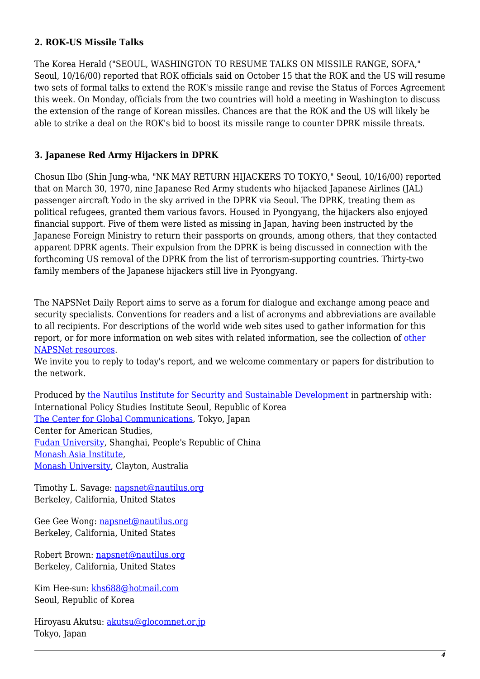#### **2. ROK-US Missile Talks**

The Korea Herald ("SEOUL, WASHINGTON TO RESUME TALKS ON MISSILE RANGE, SOFA," Seoul, 10/16/00) reported that ROK officials said on October 15 that the ROK and the US will resume two sets of formal talks to extend the ROK's missile range and revise the Status of Forces Agreement this week. On Monday, officials from the two countries will hold a meeting in Washington to discuss the extension of the range of Korean missiles. Chances are that the ROK and the US will likely be able to strike a deal on the ROK's bid to boost its missile range to counter DPRK missile threats.

#### <span id="page-3-0"></span>**3. Japanese Red Army Hijackers in DPRK**

Chosun Ilbo (Shin Jung-wha, "NK MAY RETURN HIJACKERS TO TOKYO," Seoul, 10/16/00) reported that on March 30, 1970, nine Japanese Red Army students who hijacked Japanese Airlines (JAL) passenger aircraft Yodo in the sky arrived in the DPRK via Seoul. The DPRK, treating them as political refugees, granted them various favors. Housed in Pyongyang, the hijackers also enjoyed financial support. Five of them were listed as missing in Japan, having been instructed by the Japanese Foreign Ministry to return their passports on grounds, among others, that they contacted apparent DPRK agents. Their expulsion from the DPRK is being discussed in connection with the forthcoming US removal of the DPRK from the list of terrorism-supporting countries. Thirty-two family members of the Japanese hijackers still live in Pyongyang.

The NAPSNet Daily Report aims to serve as a forum for dialogue and exchange among peace and security specialists. Conventions for readers and a list of acronyms and abbreviations are available to all recipients. For descriptions of the world wide web sites used to gather information for this report, or for more information on web sites with related information, see the collection of [other](http://nautilus.org/kiosk/weblinks.html) [NAPSNet resources.](http://nautilus.org/kiosk/weblinks.html)

We invite you to reply to today's report, and we welcome commentary or papers for distribution to the network.

Produced by [the Nautilus Institute for Security and Sustainable Development](http://nautilus.org/admin/about.html) in partnership with: International Policy Studies Institute Seoul, Republic of Korea [The Center for Global Communications](http://aska.glocom.ac.jp/default.html), Tokyo, Japan Center for American Studies, [Fudan University](http://www.fudan.edu.cn/English/nsindex.html), Shanghai, People's Republic of China [Monash Asia Institute,](http://www.adm.monash.edu.au) [Monash University](http://www.monash.edu.au/), Clayton, Australia

Timothy L. Savage: [napsnet@nautilus.org](mailto:napsnet@nautilus.org) Berkeley, California, United States

Gee Gee Wong: [napsnet@nautilus.org](mailto:napsnet@nautilus.org) Berkeley, California, United States

Robert Brown: [napsnet@nautilus.org](mailto:napsnet@nautilus.org) Berkeley, California, United States

Kim Hee-sun: [khs688@hotmail.com](mailto:khs688@hotmail.com) Seoul, Republic of Korea

Hiroyasu Akutsu: [akutsu@glocomnet.or.jp](mailto:akutsu@glocomnet.or.jp) Tokyo, Japan